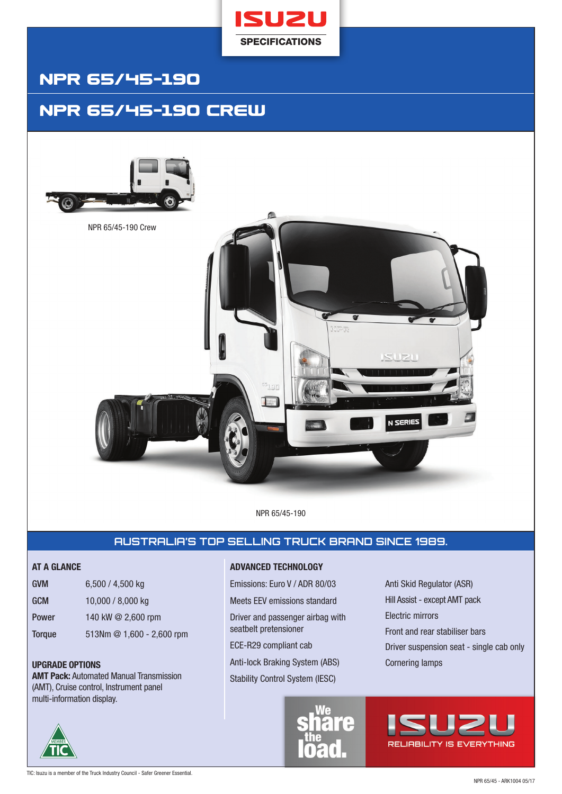

# NPR 65/45-19O

## NPR 65/45-19O Crew





NPR 65/45-190

## **AUSTRALIA'S TOP SELLING TRUCK BRAND SINCE 1989.**

| <b>GVM</b>    | 6,500 / 4,500 kg      |
|---------------|-----------------------|
| <b>GCM</b>    | 10,000 / 8,000 kg     |
| Power         | 140 kW @ 2,600 rpm    |
| <b>Torque</b> | 513Nm @ 1,600 - 2,600 |

**AMT Pack:** Automated Manual Transmission (AMT), Cruise control, Instrument panel multi-information display.

rpm

### **AT A GLANCE ADVANCED TECHNOLOGY**

Emissions: Euro V / ADR 80/03 Meets EEV emissions standard Driver and passenger airbag with seatbelt pretensioner

ECE-R29 compliant cab

**UPGRADE OPTIONS Cornering lamps Cornering lamps Cornering lamps Cornering lamps Cornering lamps Cornering lamps** 

Stability Control System (IESC)



Anti Skid Regulator (ASR) Hill Assist - except AMT pack Electric mirrors Front and rear stabiliser bars Driver suspension seat - single cab only

**RELIABILITY IS EVERYTHING** 

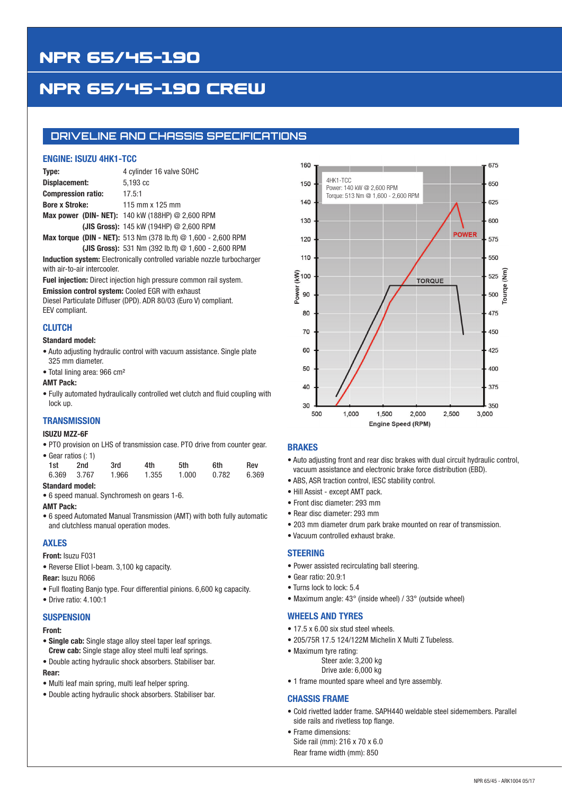# NPR 65/45-19O

# NPR 65/45-19O Crew

### **DRIVELINE AND CHASSIS SPECIFICATIONS**

### **ENGINE: ISUZU 4HK1-TCC**

| Type:                     | 4 cylinder 16 valve SOHC                                                |
|---------------------------|-------------------------------------------------------------------------|
| Displacement:             | 5.193 cc                                                                |
| <b>Compression ratio:</b> | 17.5:1                                                                  |
| <b>Bore x Stroke:</b>     | 115 mm x 125 mm                                                         |
|                           | <b>Max power (DIN- NET):</b> 140 kW (188HP) $@$ 2,600 RPM               |
|                           | (JIS Gross): 145 kW (194HP) @ 2,600 RPM                                 |
|                           | <b>Max torque (DIN - NET):</b> 513 Nm (378 lb.ft) $@ 1,600 - 2,600$ RPM |

**(JIS Gross):** 531 Nm (392 lb.ft) @ 1,600 - 2,600 RPM

**Induction system:** Electronically controlled variable nozzle turbocharger with air-to-air intercooler.

**Fuel injection:** Direct injection high pressure common rail system.

**Emission control system:** Cooled EGR with exhaust

Diesel Particulate Diffuser (DPD). ADR 80/03 (Euro V) compliant. EEV compliant.

### **CLUTCH**

#### **Standard model:**

- Auto adjusting hydraulic control with vacuum assistance. Single plate 325 mm diameter.
- Total lining area: 966 cm²

#### **AMT Pack:**

• Fully automated hydraulically controlled wet clutch and fluid coupling with lock up.

### **TRANSMISSION**

#### **ISUZU MZZ-6F**

• PTO provision on LHS of transmission case. PTO drive from counter gear.

| • Gear ratios (: 1) |             |       |       |       |       |       |
|---------------------|-------------|-------|-------|-------|-------|-------|
| 1st                 | 2nd         | 3rd   | 4th   | 5th   | 6th   | Rev   |
|                     | 6.369 3.767 | 1.966 | 1.355 | 1.000 | 0.782 | 6.369 |

**Standard model:** 

• 6 speed manual. Synchromesh on gears 1-6.

#### **AMT Pack:**

• 6 speed Automated Manual Transmission (AMT) with both fully automatic and clutchless manual operation modes.

### **AXLES**

**Front:** Isuzu F031

- Reverse Elliot I-beam. 3,100 kg capacity.
- **Rear:** Isuzu R066
- Full floating Banjo type. Four differential pinions. 6,600 kg capacity.
- Drive ratio: 4.100:1

#### **SUSPENSION**

#### **Front:**

- **Single cab:** Single stage alloy steel taper leaf springs. **Crew cab:** Single stage alloy steel multi leaf springs.
- Double acting hydraulic shock absorbers. Stabiliser bar.

#### **Rear:**

- Multi leaf main spring, multi leaf helper spring.
- Double acting hydraulic shock absorbers. Stabiliser bar.



#### **BRAKES**

- Auto adjusting front and rear disc brakes with dual circuit hydraulic control, vacuum assistance and electronic brake force distribution (EBD).
- ABS, ASR traction control, IESC stability control.
- Hill Assist except AMT pack.
- Front disc diameter: 293 mm
- Rear disc diameter: 293 mm
- 203 mm diameter drum park brake mounted on rear of transmission.
- Vacuum controlled exhaust brake.

#### **STEERING**

- Power assisted recirculating ball steering.
- Gear ratio: 20.9:1
- Turns lock to lock: 5.4
- Maximum angle: 43° (inside wheel) / 33° (outside wheel)

#### **WHEELS AND TYRES**

- 17.5 x 6.00 six stud steel wheels.
- 205/75R 17.5 124/122M Michelin X Multi Z Tubeless.
- Maximum tyre rating:
	- Steer axle: 3,200 kg Drive axle: 6,000 kg
- 1 frame mounted spare wheel and tyre assembly.

#### **CHASSIS FRAME**

- Cold rivetted ladder frame. SAPH440 weldable steel sidemembers. Parallel side rails and rivetless top flange.
- Frame dimensions: Side rail (mm): 216 x 70 x 6.0 Rear frame width (mm): 850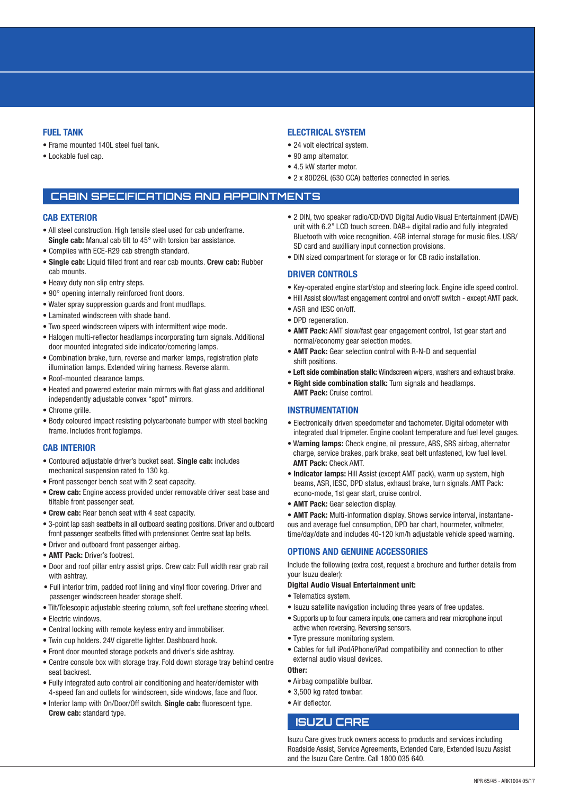#### **FUEL TANK**

- Frame mounted 140L steel fuel tank.
- Lockable fuel cap.

#### **ELECTRICAL SYSTEM**

- 24 volt electrical system.
- 90 amp alternator.
- 4.5 kW starter motor.
- 2 x 80D26L (630 CCA) batteries connected in series.

### **CABIN SPECIFICATIONS AND APPOINTMENTS**

#### **CAB EXTERIOR**

- All steel construction. High tensile steel used for cab underframe. **Single cab:** Manual cab tilt to 45° with torsion bar assistance.
- Complies with ECE-R29 cab strength standard.
- **Single cab:** Liquid filled front and rear cab mounts. **Crew cab:** Rubber cab mounts.
- Heavy duty non slip entry steps.
- 90° opening internally reinforced front doors.
- Water spray suppression guards and front mudflaps.
- Laminated windscreen with shade band.
- Two speed windscreen wipers with intermittent wipe mode.
- Halogen multi-reflector headlamps incorporating turn signals. Additional door mounted integrated side indicator/cornering lamps.
- Combination brake, turn, reverse and marker lamps, registration plate illumination lamps. Extended wiring harness. Reverse alarm.
- Roof-mounted clearance lamps.
- Heated and powered exterior main mirrors with flat glass and additional independently adjustable convex "spot" mirrors.
- Chrome grille.
- Body coloured impact resisting polycarbonate bumper with steel backing frame. Includes front foglamps.

#### **CAB INTERIOR**

- Contoured adjustable driver's bucket seat. **Single cab:** includes mechanical suspension rated to 130 kg.
- Front passenger bench seat with 2 seat capacity.
- **Crew cab:** Engine access provided under removable driver seat base and tiltable front passenger seat.
- **Crew cab:** Rear bench seat with 4 seat capacity.
- 3-point lap sash seatbelts in all outboard seating positions. Driver and outboard front passenger seatbelts fitted with pretensioner. Centre seat lap belts.
- Driver and outboard front passenger airbag.
- **AMT Pack:** Driver's footrest.
- Door and roof pillar entry assist grips. Crew cab: Full width rear grab rail with ashtray.
- Full interior trim, padded roof lining and vinyl floor covering. Driver and passenger windscreen header storage shelf.
- Tilt/Telescopic adjustable steering column, soft feel urethane steering wheel.
- Electric windows.
- Central locking with remote keyless entry and immobiliser.
- Twin cup holders. 24V cigarette lighter. Dashboard hook.
- Front door mounted storage pockets and driver's side ashtray.
- Centre console box with storage tray. Fold down storage tray behind centre seat backrest.
- Fully integrated auto control air conditioning and heater/demister with 4-speed fan and outlets for windscreen, side windows, face and floor.
- Interior lamp with On/Door/Off switch. **Single cab:** fluorescent type. **Crew cab:** standard type.
- 2 DIN, two speaker radio/CD/DVD Digital Audio Visual Entertainment (DAVE) unit with 6.2" LCD touch screen. DAB+ digital radio and fully integrated Bluetooth with voice recognition. 4GB internal storage for music files. USB/ SD card and auxilliary input connection provisions.
- DIN sized compartment for storage or for CB radio installation.

#### **DRIVER CONTROLS**

- Key-operated engine start/stop and steering lock. Engine idle speed control.
- Hill Assist slow/fast engagement control and on/off switch except AMT pack.
- ASR and IESC on/off.
- DPD regeneration.
- **AMT Pack:** AMT slow/fast gear engagement control, 1st gear start and normal/economy gear selection modes.
- **AMT Pack:** Gear selection control with R-N-D and sequential shift positions.
- **Left side combination stalk:** Windscreen wipers, washers and exhaust brake.
- **Right side combination stalk:** Turn signals and headlamps. **AMT Pack:** Cruise control.

#### **INSTRUMENTATION**

- Electronically driven speedometer and tachometer. Digital odometer with integrated dual tripmeter. Engine coolant temperature and fuel level gauges.
- W**arning lamps:** Check engine, oil pressure, ABS, SRS airbag, alternator charge, service brakes, park brake, seat belt unfastened, low fuel level. **AMT Pack:** Check AMT.
- **Indicator lamps:** Hill Assist (except AMT pack), warm up system, high beams, ASR, IESC, DPD status, exhaust brake, turn signals. AMT Pack: econo-mode, 1st gear start, cruise control.
- **AMT Pack:** Gear selection display.

• **AMT Pack:** Multi-information display. Shows service interval, instantaneous and average fuel consumption, DPD bar chart, hourmeter, voltmeter, time/day/date and includes 40-120 km/h adjustable vehicle speed warning.

#### **OPTIONS AND GENUINE ACCESSORIES**

Include the following (extra cost, request a brochure and further details from your Isuzu dealer):

#### **Digital Audio Visual Entertainment unit:**

- Telematics system.
- Isuzu satellite navigation including three years of free updates.
- Supports up to four camera inputs, one camera and rear microphone input active when reversing. Reversing sensors.
- Tyre pressure monitoring system.
- Cables for full iPod/iPhone/iPad compatibility and connection to other external audio visual devices.

#### **Other:**

- Airbag compatible bullbar.
- 3,500 kg rated towbar.
- Air deflector.

#### **ISUZU CARE**

Isuzu Care gives truck owners access to products and services including Roadside Assist, Service Agreements, Extended Care, Extended Isuzu Assist and the Isuzu Care Centre. Call 1800 035 640.